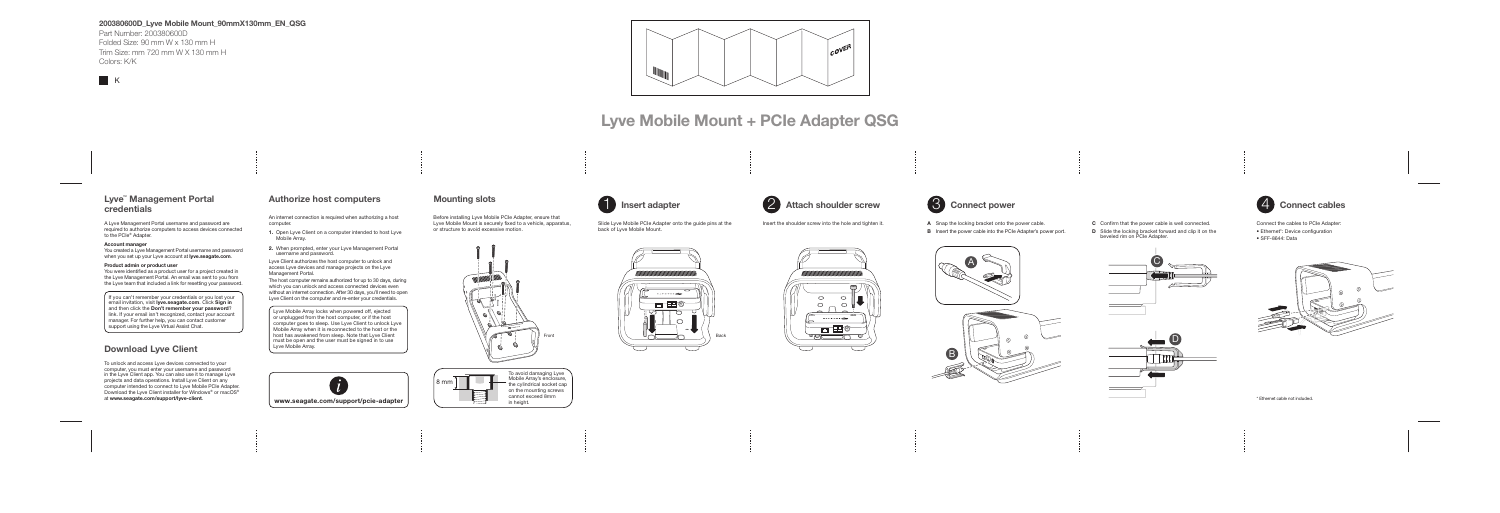### 200380600D\_Lyve Mobile Mount\_90mmX130mm\_EN\_QSG

Part Number: 200380600D Folded Size: 90 mm W x 130 mm H Trim Size: mm 720 mm W X 130 mm H Colors: K/K



- A Snap the locking bracket onto the power cable.
- **B** Insert the power cable into the PCIe Adapter's power port.

\* Ethernet cable not included.



Connect the cables to PCIe Adapter:

- Ethernet\*: Device configuration
- SFF-8644: Data



Slide Lyve Mobile PCIe Adapter onto the guide pins at the Insert the shoulder screw into the hole and tighten it. back of Lyve Mobile Mount.

A Lyve Management Portal username and password are required to authorize computers to access devices connected to the PCIe<sup>®</sup> Adapter.

- C Confirm that the power cable is well connected.
- **D** Slide the locking bracket forward and clip it on the beveled rim on PCIe Adapter.

You created a Lyve Management Portal username and password when you set up your Lyve account at lyve.seagate.com.





# Lyve Mobile Mount + PCIe Adapter QSG



To unlock and access Lyve devices connected to your computer, you must enter your username and password in the Lyve Client app. You can also use it to manage Lyve projects and data operations. Install Lyve Client on any computer intended to connect to Lyve Mobile PCIe Adapter. Download the Lyve Client installer for Windows® or macOS®<br>at www.seagate.com/support/lyve-client.

Before installing Lyve Mobile PCIe Adapter, ensure that Lyve Mobile Mount is securely fixed to a vehicle, apparatus, or structure to avoid excessive motion.







## Insert adapter  $\overline{2}$  Attach shoulder screw  $\overline{3}$  Connect power  $\overline{4}$  Connect cables



## Lyve™ Management Portal credentials

### Account manager

#### Product admin or product user

You were identified as a product user for a project created in the Lyve Management Portal. An email was sent to you from the Lyve team that included a link for resetting your password.

If you can't remember your credentials or you lost your email invitation, visit lyve.seagate.com. Click Sign in and then click the Don't remember your password? link. If your email isn't recognized, contact your account manager. For further help, you can contact customer support using the Lyve Virtual Assist Chat.

## Download Lyve Client



Lyve Mobile Array locks when powered off, ejected or unplugged from the host computer, or if the host computer goes to sleep. Use Lyve Client to unlock Lyve Mobile Array when it is reconnected to the host or the host has awakened from sleep. Note that Lyve Client must be open and the user must be signed in to use Lyve Mobile Array.

## Authorize host computers

An internet connection is required when authorizing a host computer.

- 1. Open Lyve Client on a computer intended to host Lyve Mobile Array.
- 2. When prompted, enter your Lyve Management Portal username and password.

Lyve Client authorizes the host computer to unlock and access Lyve devices and manage projects on the Lyve Management Portal.

The host computer remains authorized for up to 30 days, during which you can unlock and access connected devices even without an internet connection. After 30 days, you'll need to open Lyve Client on the computer and re-enter your credentials.